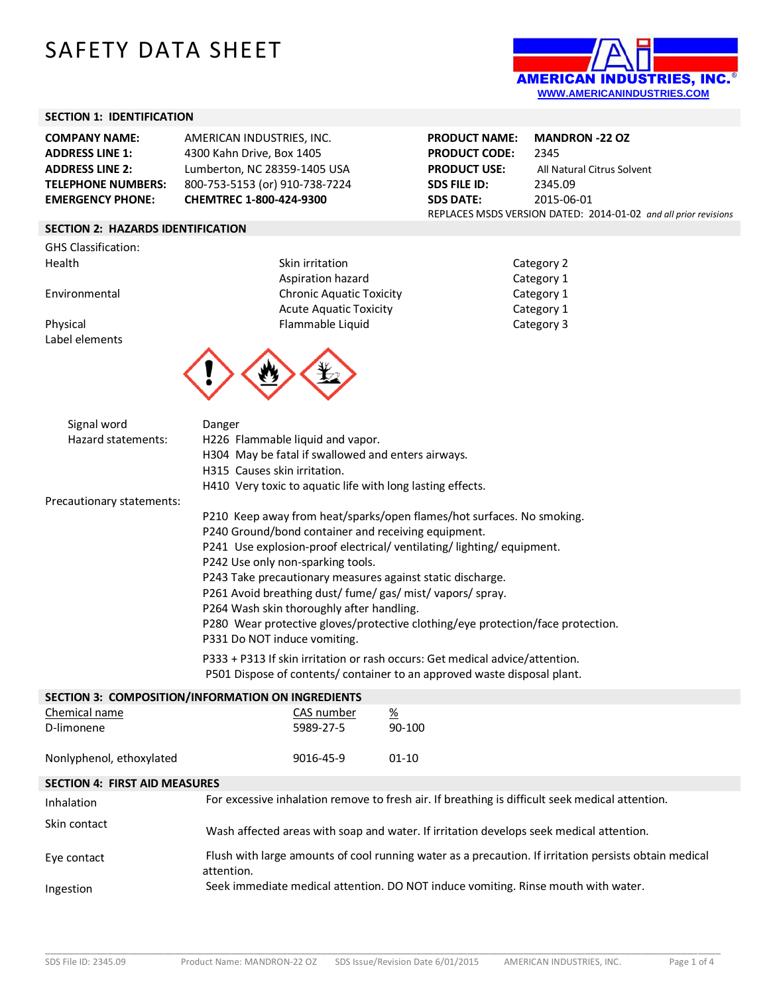# SAFETY DATA SHEET



#### **SECTION 1: IDENTIFICATION**

| <b>COMPANY NAME:</b>      | AMERICAN INDUSTRIES, INC.      |
|---------------------------|--------------------------------|
| <b>ADDRESS LINE 1:</b>    | 4300 Kahn Drive, Box 1405      |
| <b>ADDRESS LINE 2:</b>    | Lumberton, NC 28359-1405 USA   |
| <b>TELEPHONE NUMBERS:</b> | 800-753-5153 (or) 910-738-7224 |
| <b>EMERGENCY PHONE:</b>   | CHEMTREC 1-800-424-9300        |

### **SECTION 2: HAZARDS IDENTIFICATION**

GHS Classification: Health Skin irritation

Label elements

Aspiration hazard Environmental Chronic Aquatic Toxicity Acute Aquatic Toxicity Physical Flammable Liquid



**PRODUCT NAME: MANDRON -22 OZ PRODUCT CODE:** 2345 **PRODUCT USE:** All Natural Citrus Solvent **SDS FILE ID:** 2345.09 **SDS DATE:** 2015-06-01 REPLACES MSDS VERSION DATED: 2014-01-02 *and all prior revisions*

| Category 2 |  |
|------------|--|
| Category 1 |  |
| Category 1 |  |
| Category 1 |  |
| Category 3 |  |

| Signal word               | Danger                                                                          |
|---------------------------|---------------------------------------------------------------------------------|
| Hazard statements:        | H226 Flammable liquid and vapor.                                                |
|                           | H304 May be fatal if swallowed and enters airways.                              |
|                           | H315 Causes skin irritation.                                                    |
|                           | H410 Very toxic to aquatic life with long lasting effects.                      |
| Precautionary statements: |                                                                                 |
|                           | P210 Keep away from heat/sparks/open flames/hot surfaces. No smoking.           |
|                           | P240 Ground/bond container and receiving equipment.                             |
|                           | P241 Use explosion-proof electrical/ventilating/lighting/equipment.             |
|                           | P242 Use only non-sparking tools.                                               |
|                           | P243 Take precautionary measures against static discharge.                      |
|                           | P261 Avoid breathing dust/ fume/ gas/ mist/ vapors/ spray.                      |
|                           | P264 Wash skin thoroughly after handling.                                       |
|                           | P280 Wear protective gloves/protective clothing/eye protection/face protection. |
|                           | P331 Do NOT induce vomiting.                                                    |
|                           | P333 + P313 If skin irritation or rash occurs: Get medical advice/attention.    |
|                           | P501 Dispose of contents/ container to an approved waste disposal plant.        |
|                           | SECTION 3: COMPOSITION/INFORMATION ON INGREDIENTS                               |
| Chemical name             | CAS number<br>$\frac{\%}{\%}$                                                   |
| D-limonene                | 90-100<br>5989-27-5                                                             |

#### **SECTION 4: FIRST AID MEASURES**

Nonlyphenol, ethoxylated 8016-45-9 01-10

| Inhalation   | For excessive inhalation remove to fresh air. If breathing is difficult seek medical attention.                     |
|--------------|---------------------------------------------------------------------------------------------------------------------|
| Skin contact | Wash affected areas with soap and water. If irritation develops seek medical attention.                             |
| Eve contact  | Flush with large amounts of cool running water as a precaution. If irritation persists obtain medical<br>attention. |
| Ingestion    | Seek immediate medical attention. DO NOT induce vomiting. Rinse mouth with water.                                   |

\_\_\_\_\_\_\_\_\_\_\_\_\_\_\_\_\_\_\_\_\_\_\_\_\_\_\_\_\_\_\_\_\_\_\_\_\_\_\_\_\_\_\_\_\_\_\_\_\_\_\_\_\_\_\_\_\_\_\_\_\_\_\_\_\_\_\_\_\_\_\_\_\_\_\_\_\_\_\_\_\_\_\_\_\_\_\_\_\_\_\_\_\_\_\_\_\_\_\_\_\_\_\_\_\_\_\_\_\_\_\_\_\_\_\_\_\_\_\_\_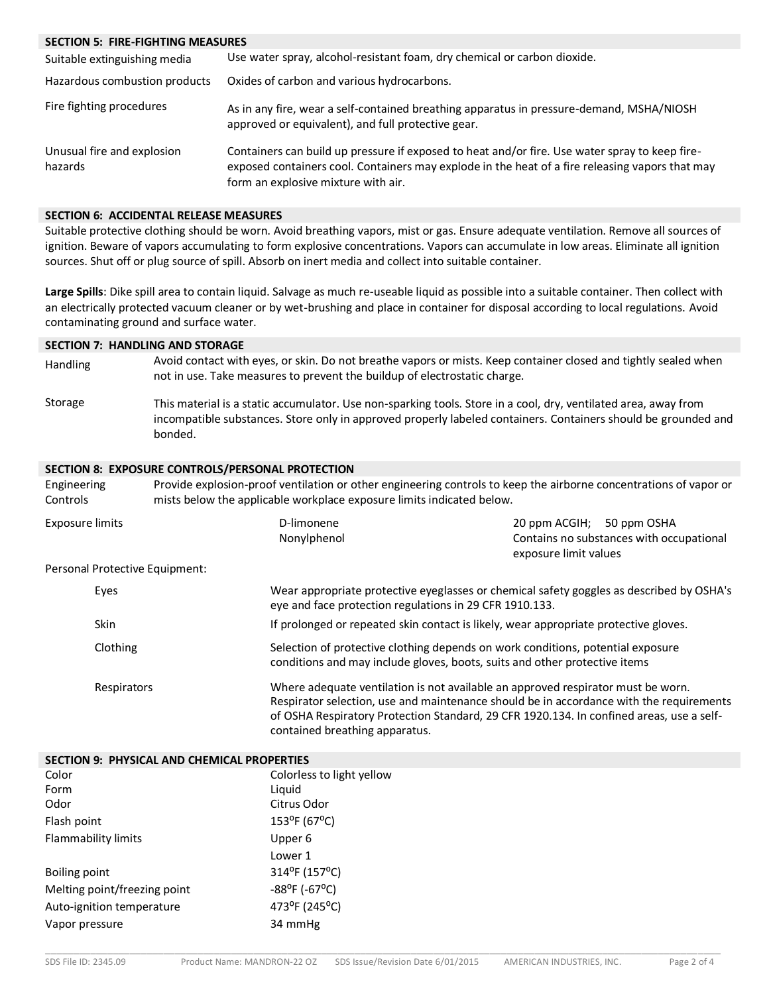#### **SECTION 5: FIRE-FIGHTING MEASURES**

| Suitable extinguishing media          | Use water spray, alcohol-resistant foam, dry chemical or carbon dioxide.                                                                                                                                                                 |
|---------------------------------------|------------------------------------------------------------------------------------------------------------------------------------------------------------------------------------------------------------------------------------------|
| Hazardous combustion products         | Oxides of carbon and various hydrocarbons.                                                                                                                                                                                               |
| Fire fighting procedures              | As in any fire, wear a self-contained breathing apparatus in pressure-demand, MSHA/NIOSH<br>approved or equivalent), and full protective gear.                                                                                           |
| Unusual fire and explosion<br>hazards | Containers can build up pressure if exposed to heat and/or fire. Use water spray to keep fire-<br>exposed containers cool. Containers may explode in the heat of a fire releasing vapors that may<br>form an explosive mixture with air. |

#### **SECTION 6: ACCIDENTAL RELEASE MEASURES**

Suitable protective clothing should be worn. Avoid breathing vapors, mist or gas. Ensure adequate ventilation. Remove all sources of ignition. Beware of vapors accumulating to form explosive concentrations. Vapors can accumulate in low areas. Eliminate all ignition sources. Shut off or plug source of spill. Absorb on inert media and collect into suitable container.

**Large Spills**: Dike spill area to contain liquid. Salvage as much re-useable liquid as possible into a suitable container. Then collect with an electrically protected vacuum cleaner or by wet-brushing and place in container for disposal according to local regulations. Avoid contaminating ground and surface water.

#### **SECTION 7: HANDLING AND STORAGE**

- Handling Avoid contact with eyes, or skin. Do not breathe vapors or mists. Keep container closed and tightly sealed when not in use. Take measures to prevent the buildup of electrostatic charge.
- Storage This material is a static accumulator. Use non-sparking tools. Store in a cool, dry, ventilated area, away from incompatible substances. Store only in approved properly labeled containers. Containers should be grounded and bonded.

#### **SECTION 8: EXPOSURE CONTROLS/PERSONAL PROTECTION**

| Engineering<br>Controls        | mists below the applicable workplace exposure limits indicated below. | Provide explosion-proof ventilation or other engineering controls to keep the airborne concentrations of vapor or                                                                                                                                                       |
|--------------------------------|-----------------------------------------------------------------------|-------------------------------------------------------------------------------------------------------------------------------------------------------------------------------------------------------------------------------------------------------------------------|
| <b>Exposure limits</b>         | D-limonene<br>Nonylphenol                                             | 20 ppm ACGIH; 50 ppm OSHA<br>Contains no substances with occupational<br>exposure limit values                                                                                                                                                                          |
| Personal Protective Equipment: |                                                                       |                                                                                                                                                                                                                                                                         |
| Eyes                           | eye and face protection regulations in 29 CFR 1910.133.               | Wear appropriate protective eyeglasses or chemical safety goggles as described by OSHA's                                                                                                                                                                                |
| <b>Skin</b>                    |                                                                       | If prolonged or repeated skin contact is likely, wear appropriate protective gloves.                                                                                                                                                                                    |
| Clothing                       |                                                                       | Selection of protective clothing depends on work conditions, potential exposure<br>conditions and may include gloves, boots, suits and other protective items                                                                                                           |
| Respirators                    | contained breathing apparatus.                                        | Where adequate ventilation is not available an approved respirator must be worn.<br>Respirator selection, use and maintenance should be in accordance with the requirements<br>of OSHA Respiratory Protection Standard, 29 CFR 1920.134. In confined areas, use a self- |

| SECTION 9: PHYSICAL AND CHEMICAL PROPERTIES |                             |  |
|---------------------------------------------|-----------------------------|--|
| Color                                       | Colorless to light yellow   |  |
| Form                                        | Liguid                      |  |
| Odor                                        | Citrus Odor                 |  |
| Flash point                                 | $153^{\circ}F(67^{\circ}C)$ |  |
| Flammability limits                         | Upper 6                     |  |
|                                             | Lower 1                     |  |
| Boiling point                               | 314°F (157°C)               |  |
| Melting point/freezing point                | $-88^{\circ}$ F (-67°C)     |  |
| Auto-ignition temperature                   | 473°F (245°C)               |  |
| Vapor pressure                              | 34 mmHg                     |  |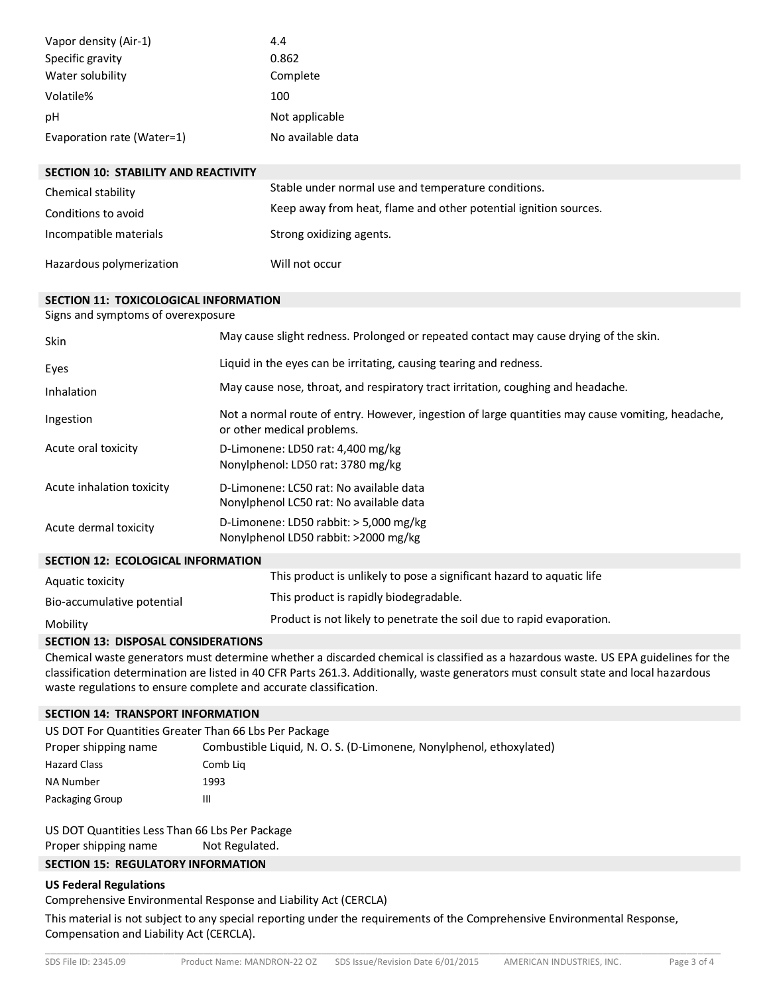| Vapor density (Air-1)      | 4.4               |
|----------------------------|-------------------|
| Specific gravity           | 0.862             |
| Water solubility           | Complete          |
| Volatile%                  | 100               |
| рH                         | Not applicable    |
| Evaporation rate (Water=1) | No available data |

| <b>SECTION 10: STABILITY AND REACTIVITY</b> |                                                                  |
|---------------------------------------------|------------------------------------------------------------------|
| Chemical stability                          | Stable under normal use and temperature conditions.              |
| Conditions to avoid                         | Keep away from heat, flame and other potential ignition sources. |
| Incompatible materials                      | Strong oxidizing agents.                                         |
| Hazardous polymerization                    | Will not occur                                                   |

#### **SECTION 11: TOXICOLOGICAL INFORMATION**

Signs and symptoms of overexposure

| Skin                                      | May cause slight redness. Prolonged or repeated contact may cause drying of the skin.                                           |
|-------------------------------------------|---------------------------------------------------------------------------------------------------------------------------------|
| Eyes                                      | Liquid in the eyes can be irritating, causing tearing and redness.                                                              |
| Inhalation                                | May cause nose, throat, and respiratory tract irritation, coughing and headache.                                                |
| Ingestion                                 | Not a normal route of entry. However, ingestion of large quantities may cause vomiting, headache,<br>or other medical problems. |
| Acute oral toxicity                       | D-Limonene: LD50 rat: 4,400 mg/kg<br>Nonylphenol: LD50 rat: 3780 mg/kg                                                          |
| Acute inhalation toxicity                 | D-Limonene: LC50 rat: No available data<br>Nonylphenol LC50 rat: No available data                                              |
| Acute dermal toxicity                     | D-Limonene: LD50 rabbit: $>$ 5,000 mg/kg<br>Nonylphenol LD50 rabbit: >2000 mg/kg                                                |
| <b>SECTION 12: ECOLOGICAL INFORMATION</b> |                                                                                                                                 |
| Aquatic toxicity                          | This product is unlikely to pose a significant hazard to aquatic life                                                           |
| Bio-accumulative potential                | This product is rapidly biodegradable.                                                                                          |

## Mobility Product is not likely to penetrate the soil due to rapid evaporation.

#### **SECTION 13: DISPOSAL CONSIDERATIONS**

Chemical waste generators must determine whether a discarded chemical is classified as a hazardous waste. US EPA guidelines for the classification determination are listed in 40 CFR Parts 261.3. Additionally, waste generators must consult state and local hazardous waste regulations to ensure complete and accurate classification.

#### **SECTION 14: TRANSPORT INFORMATION**

| US DOT For Quantities Greater Than 66 Lbs Per Package |                                                                     |  |
|-------------------------------------------------------|---------------------------------------------------------------------|--|
| Proper shipping name                                  | Combustible Liquid, N. O. S. (D-Limonene, Nonylphenol, ethoxylated) |  |
| <b>Hazard Class</b>                                   | Comb Lig                                                            |  |
| NA Number                                             | 1993                                                                |  |
| Packaging Group                                       | Ш                                                                   |  |

US DOT Quantities Less Than 66 Lbs Per Package Proper shipping name Not Regulated.

# **SECTION 15: REGULATORY INFORMATION**

#### **US Federal Regulations**

Comprehensive Environmental Response and Liability Act (CERCLA)

This material is not subject to any special reporting under the requirements of the Comprehensive Environmental Response, Compensation and Liability Act (CERCLA).

\_\_\_\_\_\_\_\_\_\_\_\_\_\_\_\_\_\_\_\_\_\_\_\_\_\_\_\_\_\_\_\_\_\_\_\_\_\_\_\_\_\_\_\_\_\_\_\_\_\_\_\_\_\_\_\_\_\_\_\_\_\_\_\_\_\_\_\_\_\_\_\_\_\_\_\_\_\_\_\_\_\_\_\_\_\_\_\_\_\_\_\_\_\_\_\_\_\_\_\_\_\_\_\_\_\_\_\_\_\_\_\_\_\_\_\_\_\_\_\_